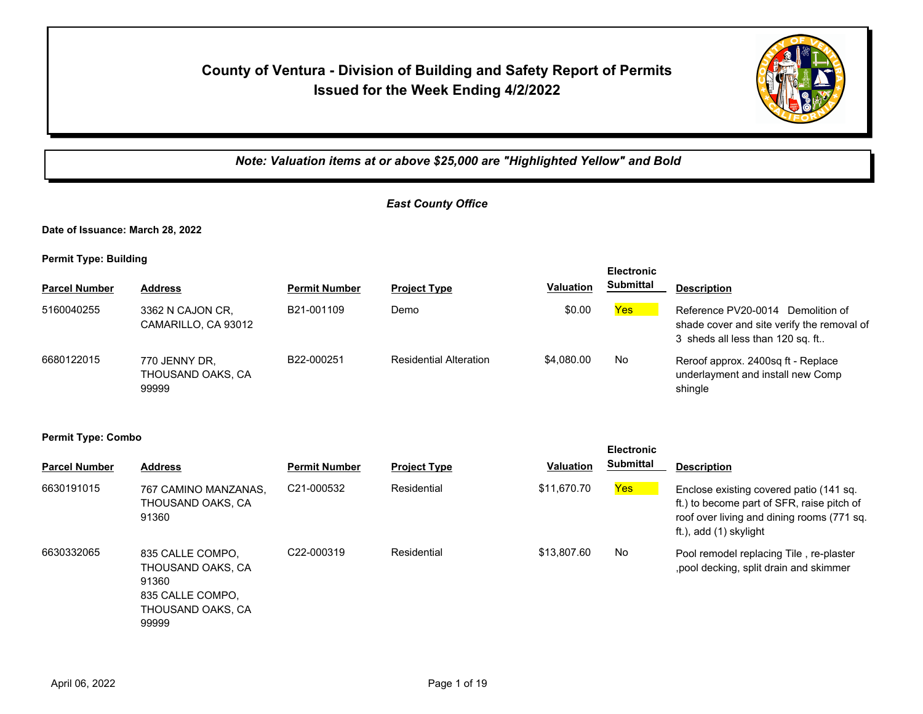## **County of Ventura - Division of Building and Safety Report of Permits Issued for the Week Ending 4/2/2022**



*Note: Valuation items at or above \$25,000 are "Highlighted Yellow" and Bold*

## *East County Office*

**Date of Issuance: March 28, 2022**

**Permit Type: Building**

|                      |                                             |                      |                               |                  | <b>Electronic</b> |                                                                                                                     |
|----------------------|---------------------------------------------|----------------------|-------------------------------|------------------|-------------------|---------------------------------------------------------------------------------------------------------------------|
| <b>Parcel Number</b> | <b>Address</b>                              | <b>Permit Number</b> | <b>Project Type</b>           | <b>Valuation</b> | <b>Submittal</b>  | <b>Description</b>                                                                                                  |
| 5160040255           | 3362 N CAJON CR.<br>CAMARILLO, CA 93012     | B21-001109           | Demo                          | \$0.00           | Yes               | Reference PV20-0014 Demolition of<br>shade cover and site verify the removal of<br>3 sheds all less than 120 sq. ft |
| 6680122015           | 770 JENNY DR.<br>THOUSAND OAKS, CA<br>99999 | B22-000251           | <b>Residential Alteration</b> | \$4,080,00       | No                | Reroof approx. 2400sq ft - Replace<br>underlayment and install new Comp<br>shingle                                  |

| <b>Parcel Number</b> | <b>Address</b>                                                                                   | <b>Permit Number</b>    | <b>Project Type</b> | <b>Valuation</b> | <b>Electronic</b><br><b>Submittal</b> | <b>Description</b>                                                                                                                                            |
|----------------------|--------------------------------------------------------------------------------------------------|-------------------------|---------------------|------------------|---------------------------------------|---------------------------------------------------------------------------------------------------------------------------------------------------------------|
| 6630191015           | 767 CAMINO MANZANAS.<br>THOUSAND OAKS, CA<br>91360                                               | C <sub>21</sub> -000532 | Residential         | \$11,670.70      | Yes                                   | Enclose existing covered patio (141 sq.<br>ft.) to become part of SFR, raise pitch of<br>roof over living and dining rooms (771 sq.<br>ft.), add (1) skylight |
| 6630332065           | 835 CALLE COMPO.<br>THOUSAND OAKS, CA<br>91360<br>835 CALLE COMPO.<br>THOUSAND OAKS, CA<br>99999 | C22-000319              | Residential         | \$13,807.60      | <b>No</b>                             | Pool remodel replacing Tile, re-plaster<br>, pool decking, split drain and skimmer                                                                            |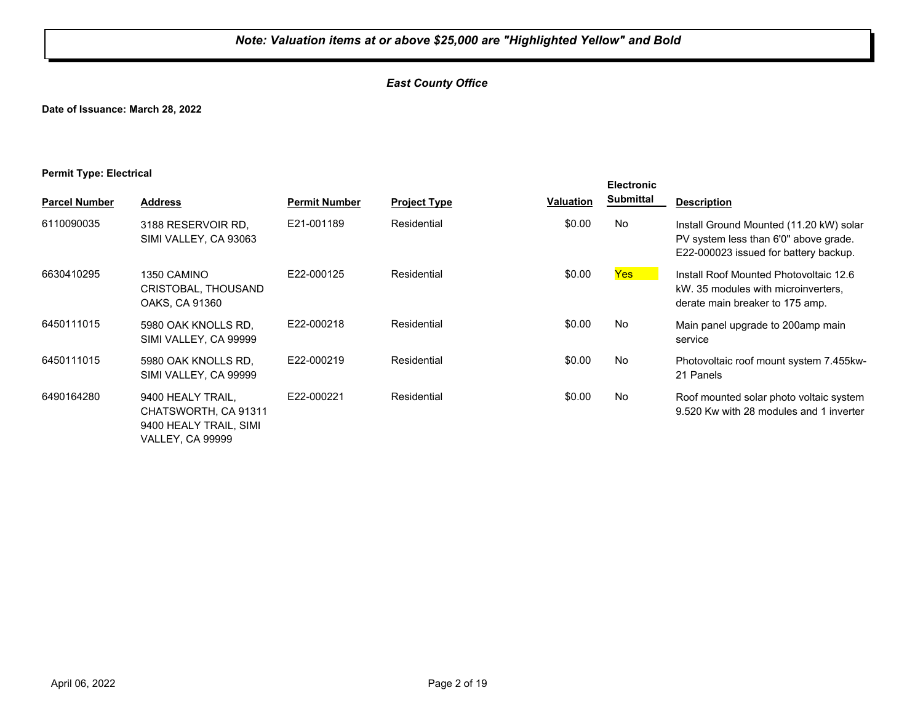## *East County Office*

**Date of Issuance: March 28, 2022**

#### **Permit Type: Electrical**

| <b>Parcel Number</b> | <b>Address</b>                                                                                 | <b>Permit Number</b> | <b>Project Type</b> | <b>Valuation</b> | <b>Electronic</b><br><b>Submittal</b> | <b>Description</b>                                                                                                        |
|----------------------|------------------------------------------------------------------------------------------------|----------------------|---------------------|------------------|---------------------------------------|---------------------------------------------------------------------------------------------------------------------------|
| 6110090035           | 3188 RESERVOIR RD.<br>SIMI VALLEY, CA 93063                                                    | E21-001189           | Residential         | \$0.00           | No                                    | Install Ground Mounted (11.20 kW) solar<br>PV system less than 6'0" above grade.<br>E22-000023 issued for battery backup. |
| 6630410295           | 1350 CAMINO<br>CRISTOBAL, THOUSAND<br>OAKS, CA 91360                                           | E22-000125           | Residential         | \$0.00           | <b>Yes</b>                            | Install Roof Mounted Photovoltaic 12.6<br>kW. 35 modules with microinverters,<br>derate main breaker to 175 amp.          |
| 6450111015           | 5980 OAK KNOLLS RD.<br>SIMI VALLEY, CA 99999                                                   | E22-000218           | Residential         | \$0.00           | No                                    | Main panel upgrade to 200amp main<br>service                                                                              |
| 6450111015           | 5980 OAK KNOLLS RD.<br>SIMI VALLEY, CA 99999                                                   | E22-000219           | Residential         | \$0.00           | No                                    | Photovoltaic roof mount system 7.455kw-<br>21 Panels                                                                      |
| 6490164280           | 9400 HEALY TRAIL,<br>CHATSWORTH, CA 91311<br>9400 HEALY TRAIL, SIMI<br><b>VALLEY, CA 99999</b> | E22-000221           | Residential         | \$0.00           | No                                    | Roof mounted solar photo voltaic system<br>9.520 Kw with 28 modules and 1 inverter                                        |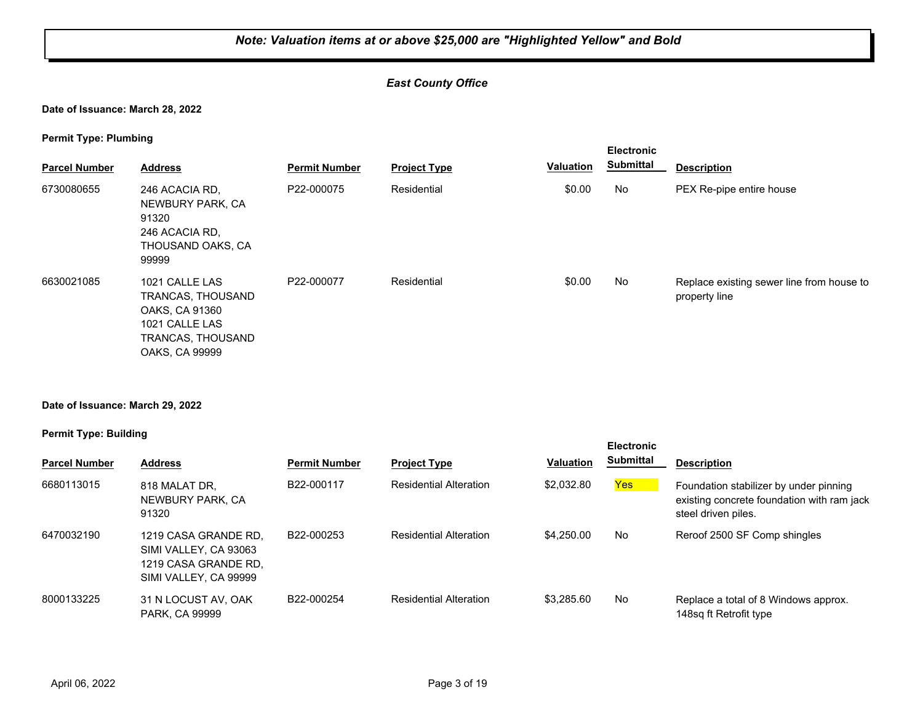## *East County Office*

**Date of Issuance: March 28, 2022**

**Permit Type: Plumbing**

| . .<br><b>Parcel Number</b> | <b>Address</b>                                                                                                 | <b>Permit Number</b> | <b>Project Type</b> | <b>Valuation</b> | <b>Electronic</b><br><b>Submittal</b> | <b>Description</b>                                         |
|-----------------------------|----------------------------------------------------------------------------------------------------------------|----------------------|---------------------|------------------|---------------------------------------|------------------------------------------------------------|
| 6730080655                  | 246 ACACIA RD,<br>NEWBURY PARK, CA<br>91320<br>246 ACACIA RD.<br>THOUSAND OAKS, CA<br>99999                    | P22-000075           | Residential         | \$0.00           | <b>No</b>                             | PEX Re-pipe entire house                                   |
| 6630021085                  | 1021 CALLE LAS<br>TRANCAS, THOUSAND<br>OAKS, CA 91360<br>1021 CALLE LAS<br>TRANCAS, THOUSAND<br>OAKS, CA 99999 | P22-000077           | Residential         | \$0.00           | <b>No</b>                             | Replace existing sewer line from house to<br>property line |

#### **Date of Issuance: March 29, 2022**

#### **Permit Type: Building**

| <b>Parcel Number</b> | <b>Address</b>                                                                                 | <b>Permit Number</b> | <b>Project Type</b>           | <b>Valuation</b> | <b>Electronic</b><br><b>Submittal</b> | <b>Description</b>                                                                                          |
|----------------------|------------------------------------------------------------------------------------------------|----------------------|-------------------------------|------------------|---------------------------------------|-------------------------------------------------------------------------------------------------------------|
| 6680113015           | 818 MALAT DR.<br>NEWBURY PARK, CA<br>91320                                                     | B22-000117           | <b>Residential Alteration</b> | \$2,032.80       | Yes                                   | Foundation stabilizer by under pinning<br>existing concrete foundation with ram jack<br>steel driven piles. |
| 6470032190           | 1219 CASA GRANDE RD.<br>SIMI VALLEY, CA 93063<br>1219 CASA GRANDE RD.<br>SIMI VALLEY, CA 99999 | B22-000253           | <b>Residential Alteration</b> | \$4,250,00       | No                                    | Reroof 2500 SF Comp shingles                                                                                |
| 8000133225           | 31 N LOCUST AV, OAK<br><b>PARK, CA 99999</b>                                                   | B22-000254           | <b>Residential Alteration</b> | \$3.285.60       | No                                    | Replace a total of 8 Windows approx.<br>148sq ft Retrofit type                                              |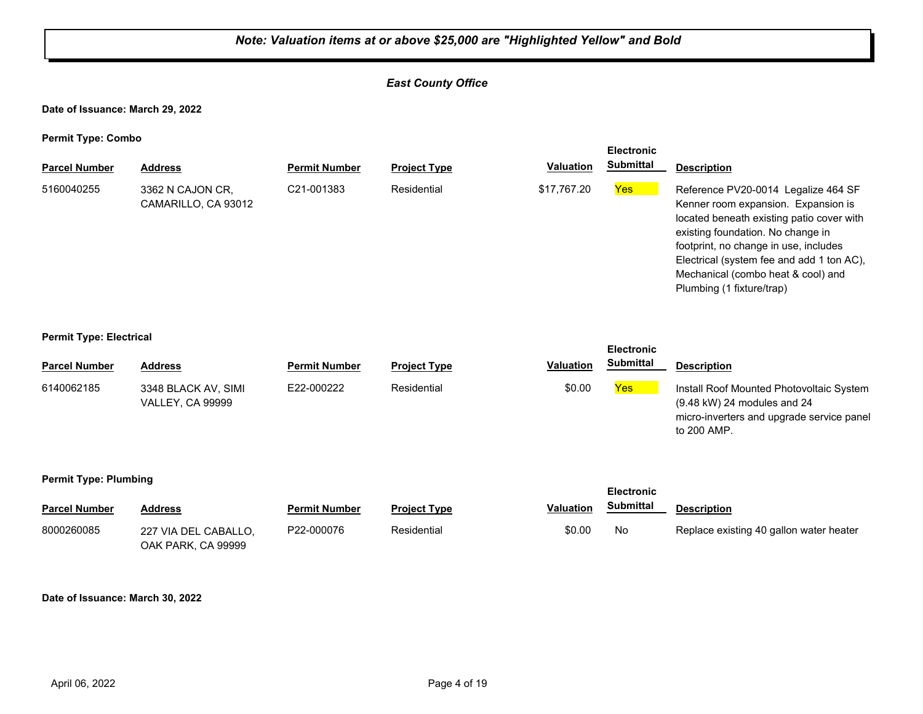## *East County Office*

**Date of Issuance: March 29, 2022**

**Permit Type: Combo**

|                      |                                         |                         |                     |                  | <b>Electronic</b> |                                                                                                                                                                                                                                                                                                                       |
|----------------------|-----------------------------------------|-------------------------|---------------------|------------------|-------------------|-----------------------------------------------------------------------------------------------------------------------------------------------------------------------------------------------------------------------------------------------------------------------------------------------------------------------|
| <b>Parcel Number</b> | <b>Address</b>                          | <b>Permit Number</b>    | <b>Project Type</b> | <b>Valuation</b> | <b>Submittal</b>  | <b>Description</b>                                                                                                                                                                                                                                                                                                    |
| 5160040255           | 3362 N CAJON CR.<br>CAMARILLO, CA 93012 | C <sub>21</sub> -001383 | Residential         | \$17,767.20      | <b>Yes</b>        | Reference PV20-0014 Legalize 464 SF<br>Kenner room expansion. Expansion is<br>located beneath existing patio cover with<br>existing foundation. No change in<br>footprint, no change in use, includes<br>Electrical (system fee and add 1 ton AC),<br>Mechanical (combo heat & cool) and<br>Plumbing (1 fixture/trap) |

#### **Permit Type: Electrical**

| . .                  |                                                |                      |                     |                  | <b>Electronic</b> |                                                                                                                                               |
|----------------------|------------------------------------------------|----------------------|---------------------|------------------|-------------------|-----------------------------------------------------------------------------------------------------------------------------------------------|
| <b>Parcel Number</b> | <b>Address</b>                                 | <b>Permit Number</b> | <b>Project Type</b> | <b>Valuation</b> | <b>Submittal</b>  | <b>Description</b>                                                                                                                            |
| 6140062185           | 3348 BLACK AV, SIMI<br><b>VALLEY, CA 99999</b> | E22-000222           | Residential         | \$0.00           | Yes               | Install Roof Mounted Photovoltaic System<br>$(9.48 \text{ kW})$ 24 modules and 24<br>micro-inverters and upgrade service panel<br>to 200 AMP. |

#### **Permit Type: Plumbing**

| <b>Parcel Number</b> | <b>Address</b>                             | <b>Permit Number</b> | <b>Project Type</b> | <b>Valuation</b> | Submittal | <b>Description</b>                      |
|----------------------|--------------------------------------------|----------------------|---------------------|------------------|-----------|-----------------------------------------|
| 8000260085           | 227 VIA DEL CABALLO.<br>OAK PARK, CA 99999 | P22-000076           | Residential         | \$0.00           | . No      | Replace existing 40 gallon water heater |

**Electronic** 

#### **Date of Issuance: March 30, 2022**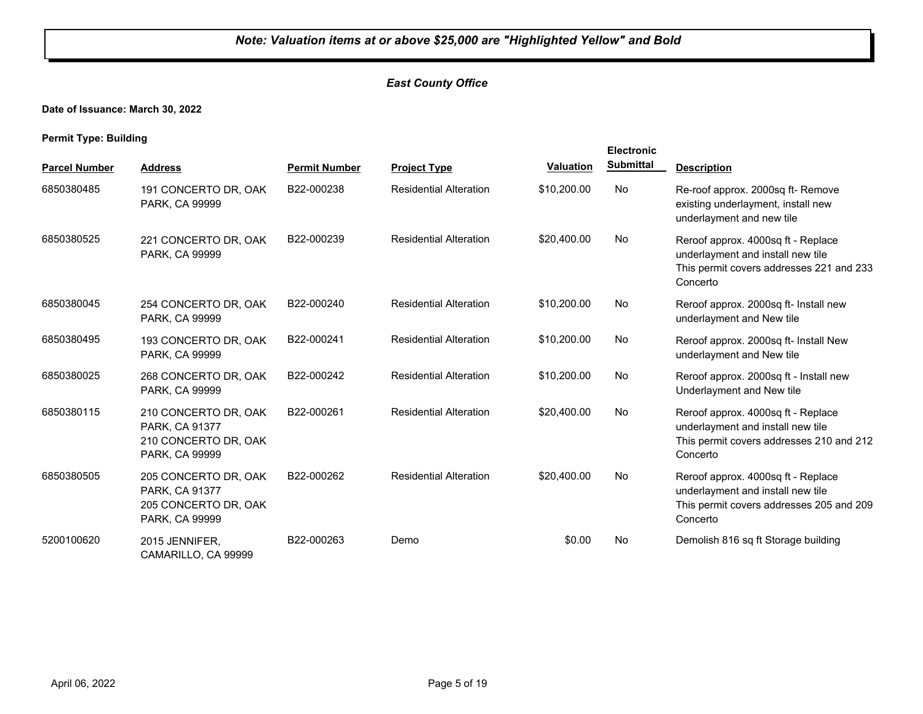## *East County Office*

**Date of Issuance: March 30, 2022**

**Permit Type: Building**

|                      |                                                                                  |                      |                               |                  | <b>Electronic</b> |                                                                                                                                 |
|----------------------|----------------------------------------------------------------------------------|----------------------|-------------------------------|------------------|-------------------|---------------------------------------------------------------------------------------------------------------------------------|
| <b>Parcel Number</b> | <b>Address</b>                                                                   | <b>Permit Number</b> | <b>Project Type</b>           | <b>Valuation</b> | <b>Submittal</b>  | <b>Description</b>                                                                                                              |
| 6850380485           | 191 CONCERTO DR, OAK<br>PARK, CA 99999                                           | B22-000238           | <b>Residential Alteration</b> | \$10,200.00      | No                | Re-roof approx. 2000sq ft- Remove<br>existing underlayment, install new<br>underlayment and new tile                            |
| 6850380525           | 221 CONCERTO DR, OAK<br>PARK, CA 99999                                           | B22-000239           | <b>Residential Alteration</b> | \$20,400.00      | No                | Reroof approx. 4000sq ft - Replace<br>underlayment and install new tile<br>This permit covers addresses 221 and 233<br>Concerto |
| 6850380045           | 254 CONCERTO DR, OAK<br>PARK, CA 99999                                           | B22-000240           | <b>Residential Alteration</b> | \$10,200.00      | No                | Reroof approx. 2000sq ft- Install new<br>underlayment and New tile                                                              |
| 6850380495           | 193 CONCERTO DR, OAK<br>PARK, CA 99999                                           | B22-000241           | <b>Residential Alteration</b> | \$10,200.00      | No                | Reroof approx. 2000sq ft- Install New<br>underlayment and New tile                                                              |
| 6850380025           | 268 CONCERTO DR, OAK<br><b>PARK, CA 99999</b>                                    | B22-000242           | <b>Residential Alteration</b> | \$10,200.00      | No                | Reroof approx. 2000sq ft - Install new<br>Underlayment and New tile                                                             |
| 6850380115           | 210 CONCERTO DR, OAK<br>PARK, CA 91377<br>210 CONCERTO DR, OAK<br>PARK, CA 99999 | B22-000261           | <b>Residential Alteration</b> | \$20,400.00      | No                | Reroof approx. 4000sq ft - Replace<br>underlayment and install new tile<br>This permit covers addresses 210 and 212<br>Concerto |
| 6850380505           | 205 CONCERTO DR, OAK<br>PARK, CA 91377<br>205 CONCERTO DR, OAK<br>PARK, CA 99999 | B22-000262           | <b>Residential Alteration</b> | \$20,400.00      | No                | Reroof approx. 4000sq ft - Replace<br>underlayment and install new tile<br>This permit covers addresses 205 and 209<br>Concerto |
| 5200100620           | 2015 JENNIFER.<br>CAMARILLO, CA 99999                                            | B22-000263           | Demo                          | \$0.00           | No                | Demolish 816 sq ft Storage building                                                                                             |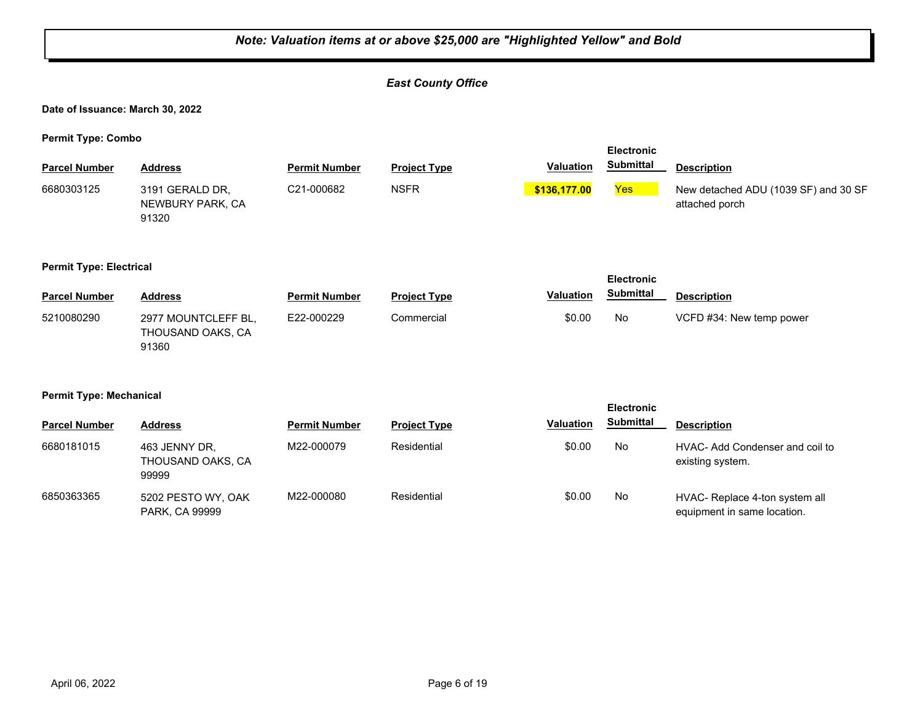|                                                     | Note: Valuation items at or above \$25,000 are "Highlighted Yellow" and Bold |                      |                           |                  |                   |                                                               |  |  |  |
|-----------------------------------------------------|------------------------------------------------------------------------------|----------------------|---------------------------|------------------|-------------------|---------------------------------------------------------------|--|--|--|
|                                                     |                                                                              |                      | <b>East County Office</b> |                  |                   |                                                               |  |  |  |
| Date of Issuance: March 30, 2022                    |                                                                              |                      |                           |                  |                   |                                                               |  |  |  |
| <b>Permit Type: Combo</b>                           |                                                                              |                      |                           |                  | <b>Electronic</b> |                                                               |  |  |  |
| <b>Parcel Number</b>                                | <b>Address</b>                                                               | <b>Permit Number</b> | <b>Project Type</b>       | <b>Valuation</b> | <b>Submittal</b>  | <b>Description</b>                                            |  |  |  |
| 6680303125                                          | 3191 GERALD DR,<br>NEWBURY PARK, CA<br>91320                                 | C21-000682           | <b>NSFR</b>               | \$136,177.00     | Yes               | New detached ADU (1039 SF) and 30 SF<br>attached porch        |  |  |  |
| <b>Permit Type: Electrical</b><br><b>Electronic</b> |                                                                              |                      |                           |                  |                   |                                                               |  |  |  |
| <b>Parcel Number</b>                                | <b>Address</b>                                                               | <b>Permit Number</b> | <b>Project Type</b>       | Valuation        | <b>Submittal</b>  | <b>Description</b>                                            |  |  |  |
| 5210080290                                          | 2977 MOUNTCLEFF BL,<br>THOUSAND OAKS, CA<br>91360                            | E22-000229           | Commercial                | \$0.00           | No                | VCFD #34: New temp power                                      |  |  |  |
| <b>Permit Type: Mechanical</b>                      |                                                                              |                      |                           |                  | <b>Electronic</b> |                                                               |  |  |  |
| <b>Parcel Number</b>                                | <b>Address</b>                                                               | <b>Permit Number</b> | <b>Project Type</b>       | <b>Valuation</b> | <b>Submittal</b>  | <b>Description</b>                                            |  |  |  |
| 6680181015                                          | 463 JENNY DR,<br>THOUSAND OAKS, CA<br>99999                                  | M22-000079           | Residential               | \$0.00           | <b>No</b>         | HVAC- Add Condenser and coil to<br>existing system.           |  |  |  |
| 6850363365                                          | 5202 PESTO WY, OAK<br>PARK, CA 99999                                         | M22-000080           | Residential               | \$0.00           | <b>No</b>         | HVAC- Replace 4-ton system all<br>equipment in same location. |  |  |  |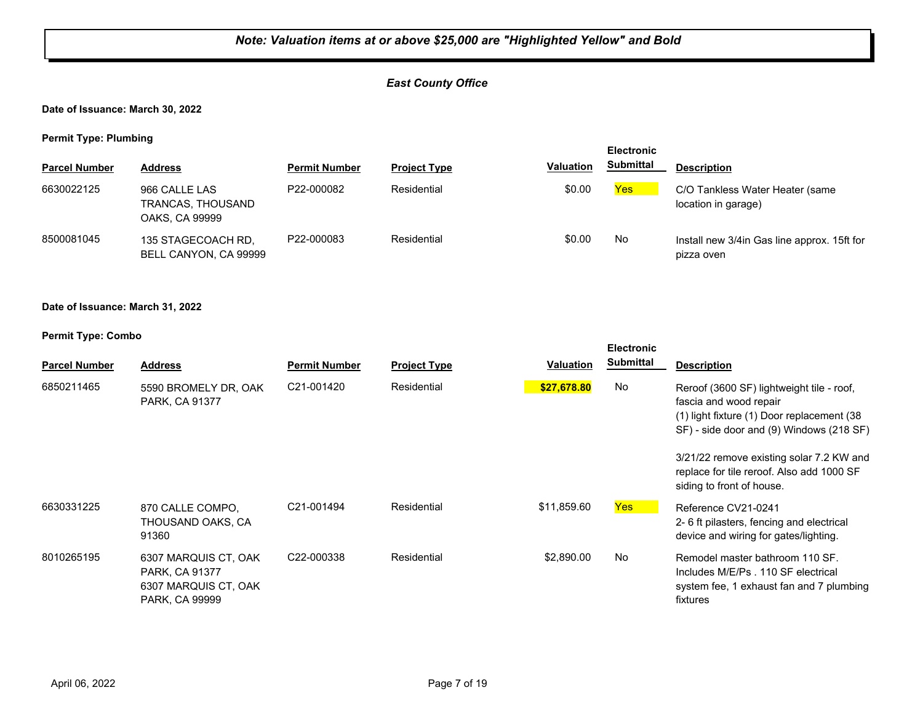## *East County Office*

#### **Date of Issuance: March 30, 2022**

**Permit Type: Plumbing**

| . .                  |                                                      |                      |                     |                  | <b>Electronic</b> |                                                            |
|----------------------|------------------------------------------------------|----------------------|---------------------|------------------|-------------------|------------------------------------------------------------|
| <b>Parcel Number</b> | <b>Address</b>                                       | <b>Permit Number</b> | <b>Project Type</b> | <b>Valuation</b> | <b>Submittal</b>  | <b>Description</b>                                         |
| 6630022125           | 966 CALLE LAS<br>TRANCAS, THOUSAND<br>OAKS, CA 99999 | P22-000082           | Residential         | \$0.00           | Yes               | C/O Tankless Water Heater (same<br>location in garage)     |
| 8500081045           | 135 STAGECOACH RD,<br>BELL CANYON, CA 99999          | P22-000083           | Residential         | \$0.00           | No                | Install new 3/4 in Gas line approx. 15ft for<br>pizza oven |

#### **Date of Issuance: March 31, 2022**

| . .                  |                                                                                  |                      |                     |                  | <b>Electronic</b><br><b>Submittal</b> |                                                                                                                                                                                                                                                                                      |
|----------------------|----------------------------------------------------------------------------------|----------------------|---------------------|------------------|---------------------------------------|--------------------------------------------------------------------------------------------------------------------------------------------------------------------------------------------------------------------------------------------------------------------------------------|
| <b>Parcel Number</b> | <b>Address</b>                                                                   | <b>Permit Number</b> | <b>Project Type</b> | <b>Valuation</b> |                                       | <b>Description</b>                                                                                                                                                                                                                                                                   |
| 6850211465           | 5590 BROMELY DR, OAK<br>PARK, CA 91377                                           | C21-001420           | Residential         | \$27,678.80      | No                                    | Reroof (3600 SF) lightweight tile - roof,<br>fascia and wood repair<br>(1) light fixture (1) Door replacement (38)<br>SF) - side door and (9) Windows (218 SF)<br>3/21/22 remove existing solar 7.2 KW and<br>replace for tile reroof. Also add 1000 SF<br>siding to front of house. |
| 6630331225           | 870 CALLE COMPO.<br>THOUSAND OAKS, CA<br>91360                                   | C21-001494           | Residential         | \$11,859.60      | Yes                                   | Reference CV21-0241<br>2-6 ft pilasters, fencing and electrical<br>device and wiring for gates/lighting.                                                                                                                                                                             |
| 8010265195           | 6307 MARQUIS CT, OAK<br>PARK, CA 91377<br>6307 MARQUIS CT, OAK<br>PARK, CA 99999 | C22-000338           | Residential         | \$2,890.00       | No                                    | Remodel master bathroom 110 SF.<br>Includes M/E/Ps . 110 SF electrical<br>system fee, 1 exhaust fan and 7 plumbing<br>fixtures                                                                                                                                                       |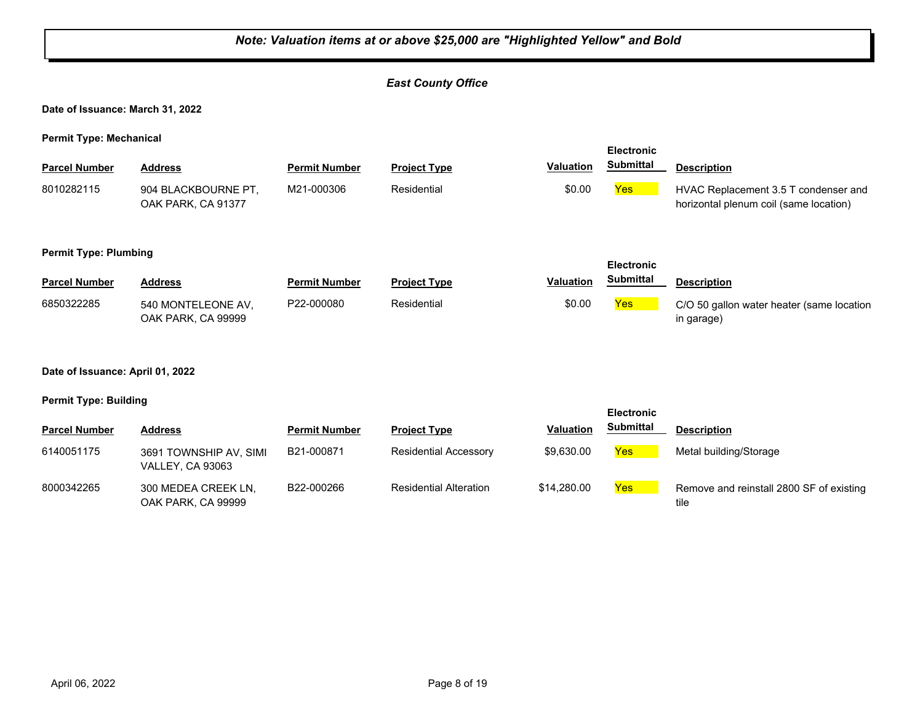| Note: Valuation items at or above \$25,000 are "Highlighted Yellow" and Bold |                                            |                      |                               |                  |                   |                                                                                |  |
|------------------------------------------------------------------------------|--------------------------------------------|----------------------|-------------------------------|------------------|-------------------|--------------------------------------------------------------------------------|--|
|                                                                              |                                            |                      | <b>East County Office</b>     |                  |                   |                                                                                |  |
| Date of Issuance: March 31, 2022                                             |                                            |                      |                               |                  |                   |                                                                                |  |
| <b>Permit Type: Mechanical</b>                                               |                                            |                      |                               |                  | <b>Electronic</b> |                                                                                |  |
| <b>Parcel Number</b>                                                         | <b>Address</b>                             | <b>Permit Number</b> | <b>Project Type</b>           | <b>Valuation</b> | <b>Submittal</b>  | <b>Description</b>                                                             |  |
| 8010282115                                                                   | 904 BLACKBOURNE PT,<br>OAK PARK, CA 91377  | M21-000306           | Residential                   | \$0.00           | Yes               | HVAC Replacement 3.5 T condenser and<br>horizontal plenum coil (same location) |  |
| <b>Permit Type: Plumbing</b><br>Electronic                                   |                                            |                      |                               |                  |                   |                                                                                |  |
| <b>Parcel Number</b>                                                         | <b>Address</b>                             | <b>Permit Number</b> | <b>Project Type</b>           | <b>Valuation</b> | <b>Submittal</b>  | <b>Description</b>                                                             |  |
| 6850322285                                                                   | 540 MONTELEONE AV,<br>OAK PARK, CA 99999   | P22-000080           | Residential                   | \$0.00           | Yes               | C/O 50 gallon water heater (same location<br>in garage)                        |  |
| Date of Issuance: April 01, 2022                                             |                                            |                      |                               |                  |                   |                                                                                |  |
| <b>Permit Type: Building</b>                                                 |                                            |                      |                               |                  | <b>Electronic</b> |                                                                                |  |
| <b>Parcel Number</b>                                                         | <b>Address</b>                             | <b>Permit Number</b> | <b>Project Type</b>           | <b>Valuation</b> | <b>Submittal</b>  | <b>Description</b>                                                             |  |
| 6140051175                                                                   | 3691 TOWNSHIP AV, SIMI<br>VALLEY, CA 93063 | B21-000871           | <b>Residential Accessory</b>  | \$9,630.00       | <b>Yes</b>        | Metal building/Storage                                                         |  |
| 8000342265                                                                   | 300 MEDEA CREEK LN,<br>OAK PARK, CA 99999  | B22-000266           | <b>Residential Alteration</b> | \$14,280.00      | <b>Yes</b>        | Remove and reinstall 2800 SF of existing<br>tile                               |  |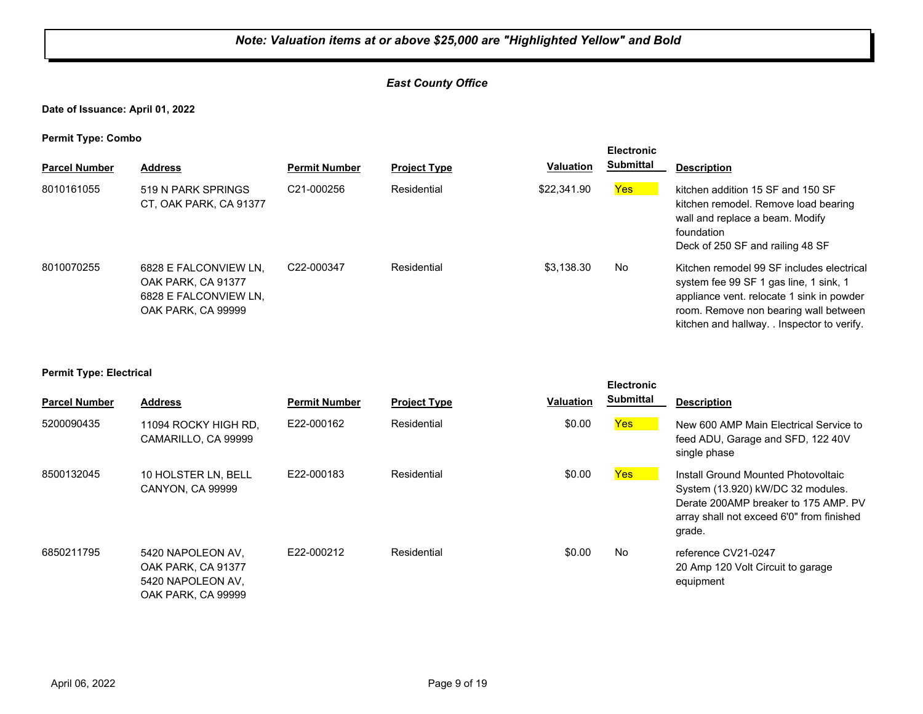## *East County Office*

**Date of Issuance: April 01, 2022**

**Permit Type: Combo**

| . .<br><b>Parcel Number</b> | <b>Address</b>                                                                             | <b>Permit Number</b>    | <b>Project Type</b> | <b>Valuation</b> | <b>Electronic</b><br><b>Submittal</b> | <b>Description</b>                                                                                                                                                                                                       |
|-----------------------------|--------------------------------------------------------------------------------------------|-------------------------|---------------------|------------------|---------------------------------------|--------------------------------------------------------------------------------------------------------------------------------------------------------------------------------------------------------------------------|
| 8010161055                  | 519 N PARK SPRINGS<br>CT, OAK PARK, CA 91377                                               | C <sub>21</sub> -000256 | Residential         | \$22,341.90      | Yes                                   | kitchen addition 15 SF and 150 SF<br>kitchen remodel. Remove load bearing<br>wall and replace a beam. Modify<br>foundation<br>Deck of 250 SF and railing 48 SF                                                           |
| 8010070255                  | 6828 E FALCONVIEW LN.<br>OAK PARK, CA 91377<br>6828 E FALCONVIEW LN,<br>OAK PARK, CA 99999 | C22-000347              | Residential         | \$3,138.30       | <b>No</b>                             | Kitchen remodel 99 SF includes electrical<br>system fee 99 SF 1 gas line, 1 sink, 1<br>appliance vent. relocate 1 sink in powder<br>room. Remove non bearing wall between<br>kitchen and hallway. . Inspector to verify. |

#### **Permit Type: Electrical**

| <b>Parcel Number</b> | <b>Address</b>                                                                     | <b>Permit Number</b> | <b>Project Type</b> | <b>Valuation</b> | <b>Electronic</b><br><b>Submittal</b> | <b>Description</b>                                                                                                                                                      |
|----------------------|------------------------------------------------------------------------------------|----------------------|---------------------|------------------|---------------------------------------|-------------------------------------------------------------------------------------------------------------------------------------------------------------------------|
| 5200090435           | 11094 ROCKY HIGH RD.<br>CAMARILLO, CA 99999                                        | E22-000162           | Residential         | \$0.00           | <b>Yes</b>                            | New 600 AMP Main Electrical Service to<br>feed ADU, Garage and SFD, 122 40V<br>single phase                                                                             |
| 8500132045           | 10 HOLSTER LN, BELL<br><b>CANYON, CA 99999</b>                                     | E22-000183           | Residential         | \$0.00           | <b>Yes</b>                            | Install Ground Mounted Photovoltaic<br>System (13.920) kW/DC 32 modules.<br>Derate 200AMP breaker to 175 AMP. PV<br>array shall not exceed 6'0" from finished<br>grade. |
| 6850211795           | 5420 NAPOLEON AV.<br>OAK PARK, CA 91377<br>5420 NAPOLEON AV.<br>OAK PARK, CA 99999 | E22-000212           | Residential         | \$0.00           | No                                    | reference CV21-0247<br>20 Amp 120 Volt Circuit to garage<br>equipment                                                                                                   |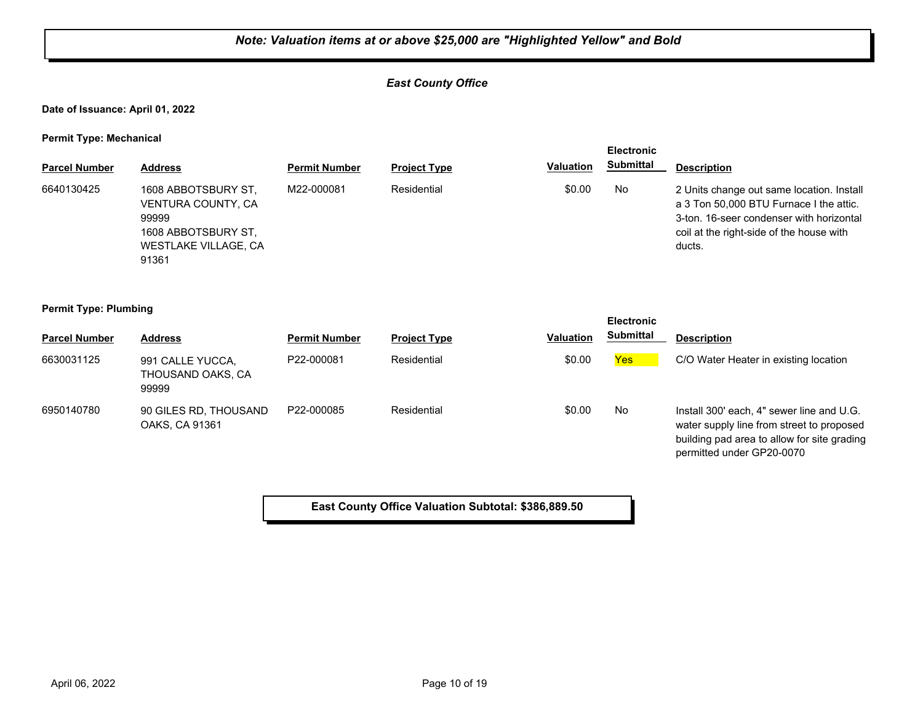## *East County Office*

**Date of Issuance: April 01, 2022**

**Permit Type: Mechanical**

|                      |                                                                                                            |                      |                     |                  | <b>Electronic</b> |                                                                                                                                                                                        |
|----------------------|------------------------------------------------------------------------------------------------------------|----------------------|---------------------|------------------|-------------------|----------------------------------------------------------------------------------------------------------------------------------------------------------------------------------------|
| <b>Parcel Number</b> | <b>Address</b>                                                                                             | <b>Permit Number</b> | <b>Project Type</b> | <b>Valuation</b> | Submittal         | <b>Description</b>                                                                                                                                                                     |
| 6640130425           | 1608 ABBOTSBURY ST,<br>VENTURA COUNTY, CA<br>99999<br>1608 ABBOTSBURY ST.<br>WESTLAKE VILLAGE, CA<br>91361 | M22-000081           | Residential         | \$0.00           | No                | 2 Units change out same location. Install<br>a 3 Ton 50,000 BTU Furnace I the attic.<br>3-ton, 16-seer condenser with horizontal<br>coil at the right-side of the house with<br>ducts. |

**Permit Type: Plumbing**

|                      |                                                |                      |                     |                  | <b>Electronic</b> |                                                                                                                                                                    |
|----------------------|------------------------------------------------|----------------------|---------------------|------------------|-------------------|--------------------------------------------------------------------------------------------------------------------------------------------------------------------|
| <b>Parcel Number</b> | <b>Address</b>                                 | <b>Permit Number</b> | <b>Project Type</b> | <b>Valuation</b> | Submittal         | <b>Description</b>                                                                                                                                                 |
| 6630031125           | 991 CALLE YUCCA,<br>THOUSAND OAKS, CA<br>99999 | P22-000081           | Residential         | \$0.00           | Yes               | C/O Water Heater in existing location                                                                                                                              |
| 6950140780           | 90 GILES RD, THOUSAND<br>OAKS, CA 91361        | P22-000085           | Residential         | \$0.00           | No                | Install 300' each, 4" sewer line and U.G.<br>water supply line from street to proposed<br>building pad area to allow for site grading<br>permitted under GP20-0070 |

**East County Office Valuation Subtotal: \$386,889.50**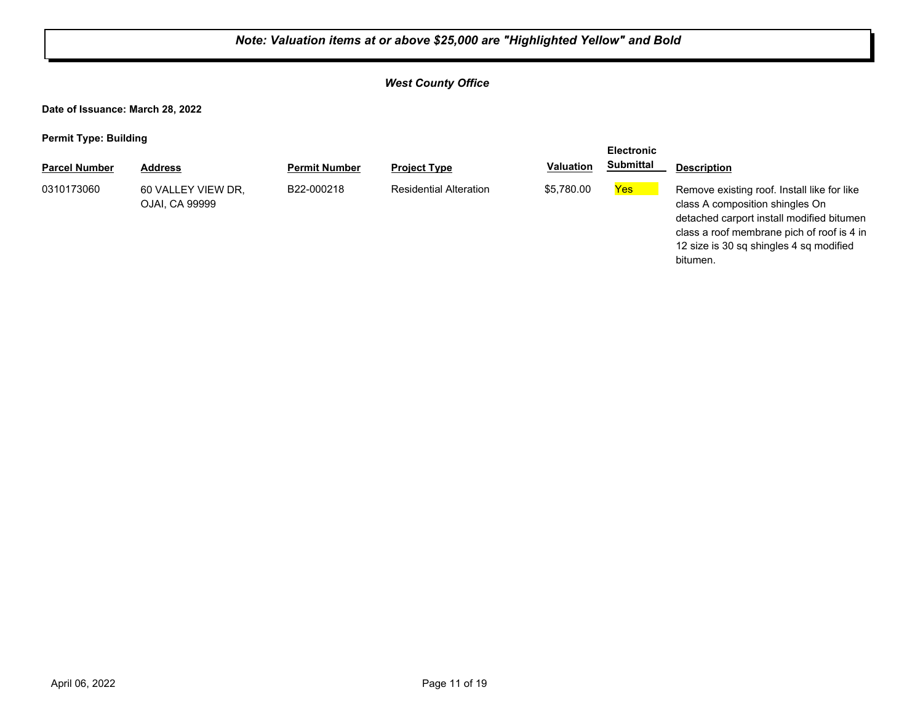## *West County Office*

**Date of Issuance: March 28, 2022**

**Permit Type: Building**

| . .                  |                                      |                      |                               |                  | <b>Electronic</b> |                                                                                                                                                                                                                                  |
|----------------------|--------------------------------------|----------------------|-------------------------------|------------------|-------------------|----------------------------------------------------------------------------------------------------------------------------------------------------------------------------------------------------------------------------------|
| <b>Parcel Number</b> | <b>Address</b>                       | <b>Permit Number</b> | <b>Project Type</b>           | <b>Valuation</b> | <b>Submittal</b>  | <b>Description</b>                                                                                                                                                                                                               |
| 0310173060           | 60 VALLEY VIEW DR,<br>OJAI, CA 99999 | B22-000218           | <b>Residential Alteration</b> | \$5.780.00       | Yes               | Remove existing roof. Install like for like<br>class A composition shingles On<br>detached carport install modified bitumen<br>class a roof membrane pich of roof is 4 in<br>12 size is 30 sq shingles 4 sq modified<br>bitumen. |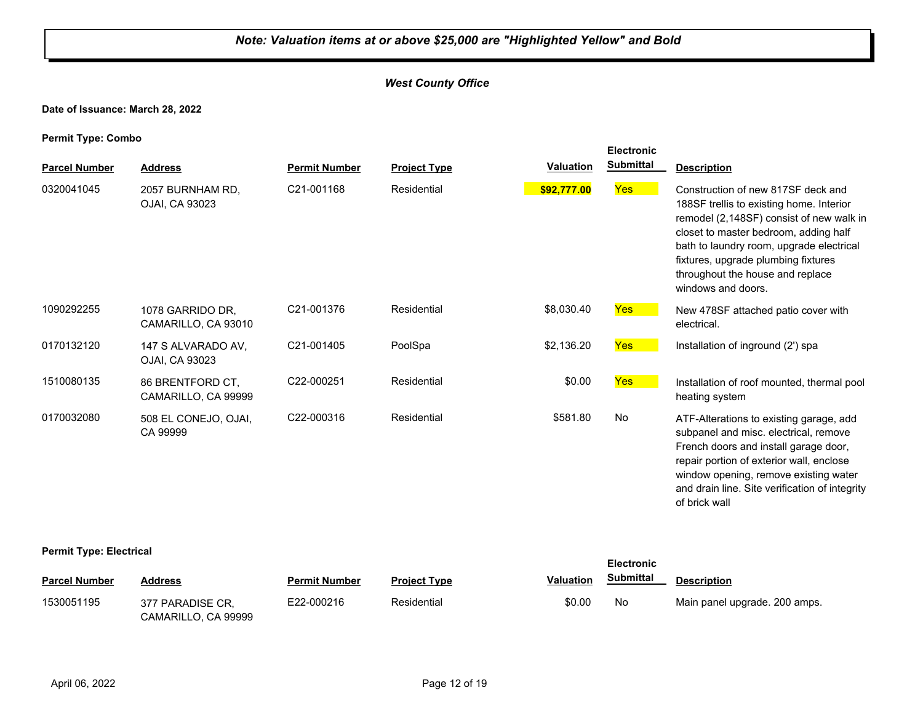## *West County Office*

#### **Date of Issuance: March 28, 2022**

**Permit Type: Combo**

|                      |                                         |                      |                     |                  | <b>Electronic</b><br><b>Submittal</b> |                                                                                                                                                                                                                                                                                                                  |
|----------------------|-----------------------------------------|----------------------|---------------------|------------------|---------------------------------------|------------------------------------------------------------------------------------------------------------------------------------------------------------------------------------------------------------------------------------------------------------------------------------------------------------------|
| <b>Parcel Number</b> | <b>Address</b>                          | <b>Permit Number</b> | <b>Project Type</b> | <b>Valuation</b> |                                       | <b>Description</b>                                                                                                                                                                                                                                                                                               |
| 0320041045           | 2057 BURNHAM RD.<br>OJAI, CA 93023      | C21-001168           | Residential         | \$92,777.00      | Yes                                   | Construction of new 817SF deck and<br>188SF trellis to existing home. Interior<br>remodel (2,148SF) consist of new walk in<br>closet to master bedroom, adding half<br>bath to laundry room, upgrade electrical<br>fixtures, upgrade plumbing fixtures<br>throughout the house and replace<br>windows and doors. |
| 1090292255           | 1078 GARRIDO DR.<br>CAMARILLO, CA 93010 | C21-001376           | Residential         | \$8,030.40       | <b>Yes</b>                            | New 478SF attached patio cover with<br>electrical.                                                                                                                                                                                                                                                               |
| 0170132120           | 147 S ALVARADO AV.<br>OJAI, CA 93023    | C21-001405           | PoolSpa             | \$2,136.20       | <b>Yes</b>                            | Installation of inground (2') spa                                                                                                                                                                                                                                                                                |
| 1510080135           | 86 BRENTFORD CT,<br>CAMARILLO, CA 99999 | C22-000251           | Residential         | \$0.00           | Yes                                   | Installation of roof mounted, thermal pool<br>heating system                                                                                                                                                                                                                                                     |
| 0170032080           | 508 EL CONEJO, OJAI,<br>CA 99999        | C22-000316           | Residential         | \$581.80         | <b>No</b>                             | ATF-Alterations to existing garage, add<br>subpanel and misc. electrical, remove<br>French doors and install garage door,<br>repair portion of exterior wall, enclose<br>window opening, remove existing water<br>and drain line. Site verification of integrity<br>of brick wall                                |

#### **Permit Type: Electrical**

| ---                  |                                         |                      |                     |                  | <b>Electronic</b> |                               |
|----------------------|-----------------------------------------|----------------------|---------------------|------------------|-------------------|-------------------------------|
| <b>Parcel Number</b> | <b>Address</b>                          | <b>Permit Number</b> | <b>Project Type</b> | <b>Valuation</b> | Submittal         | <b>Description</b>            |
| 1530051195           | 377 PARADISE CR.<br>CAMARILLO, CA 99999 | E22-000216           | Residential         | \$0.00           | No                | Main panel upgrade. 200 amps. |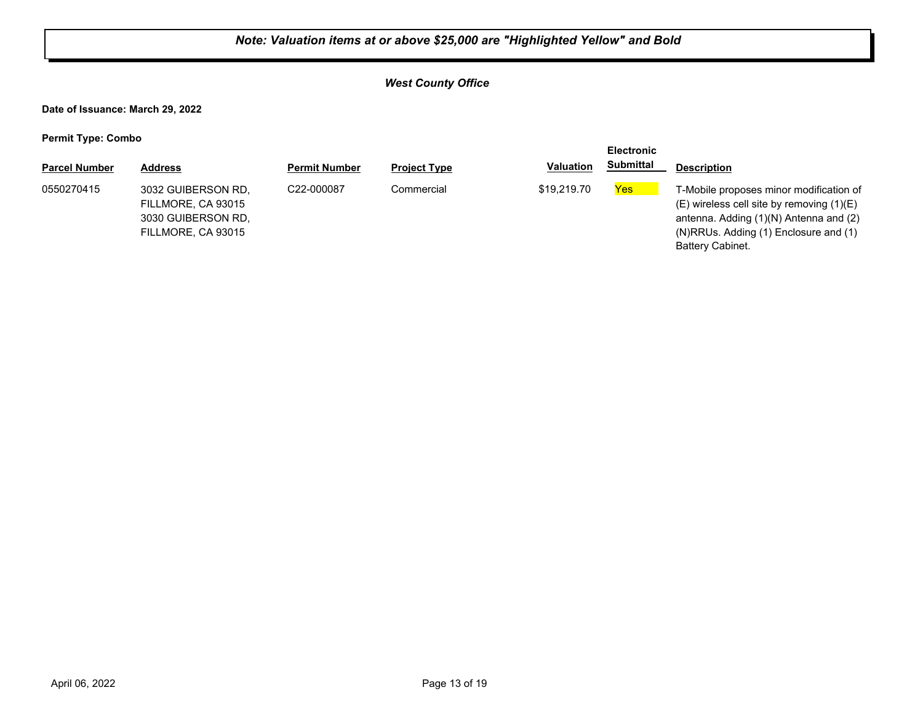## *West County Office*

**Date of Issuance: March 29, 2022**

| . .                  |                                                                                      |                      |                     |                  | <b>Electronic</b> |                                                                                                                                                                                                        |
|----------------------|--------------------------------------------------------------------------------------|----------------------|---------------------|------------------|-------------------|--------------------------------------------------------------------------------------------------------------------------------------------------------------------------------------------------------|
| <b>Parcel Number</b> | <b>Address</b>                                                                       | <b>Permit Number</b> | <b>Project Type</b> | <b>Valuation</b> | <b>Submittal</b>  | <b>Description</b>                                                                                                                                                                                     |
| 0550270415           | 3032 GUIBERSON RD.<br>FILLMORE, CA 93015<br>3030 GUIBERSON RD.<br>FILLMORE, CA 93015 | C22-000087           | Commercial          | \$19,219.70      | <b>Yes</b>        | T-Mobile proposes minor modification of<br>$(E)$ wireless cell site by removing $(1)(E)$<br>antenna. Adding (1)(N) Antenna and (2)<br>$(N)$ RRUs. Adding $(1)$ Enclosure and $(1)$<br>Battery Cabinet. |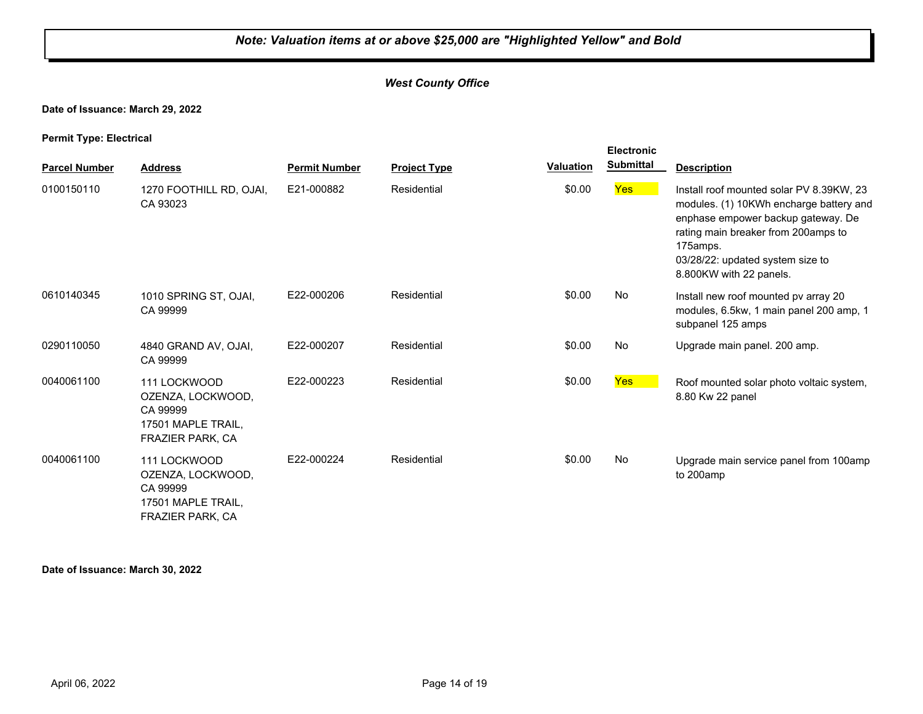## *West County Office*

#### **Date of Issuance: March 29, 2022**

**Permit Type: Electrical**

|                      |                                                                                                |                      |                     |                  | <b>Electronic</b> |                                                                                                                                                                                                                                             |
|----------------------|------------------------------------------------------------------------------------------------|----------------------|---------------------|------------------|-------------------|---------------------------------------------------------------------------------------------------------------------------------------------------------------------------------------------------------------------------------------------|
| <b>Parcel Number</b> | <b>Address</b>                                                                                 | <b>Permit Number</b> | <b>Project Type</b> | <b>Valuation</b> | <b>Submittal</b>  | <b>Description</b>                                                                                                                                                                                                                          |
| 0100150110           | 1270 FOOTHILL RD, OJAI,<br>CA 93023                                                            | E21-000882           | Residential         | \$0.00           | <b>Yes</b>        | Install roof mounted solar PV 8.39KW, 23<br>modules. (1) 10KWh encharge battery and<br>enphase empower backup gateway. De<br>rating main breaker from 200amps to<br>175amps.<br>03/28/22: updated system size to<br>8.800KW with 22 panels. |
| 0610140345           | 1010 SPRING ST, OJAI,<br>CA 99999                                                              | E22-000206           | Residential         | \$0.00           | No                | Install new roof mounted pv array 20<br>modules, 6.5kw, 1 main panel 200 amp, 1<br>subpanel 125 amps                                                                                                                                        |
| 0290110050           | 4840 GRAND AV, OJAI,<br>CA 99999                                                               | E22-000207           | Residential         | \$0.00           | No                | Upgrade main panel. 200 amp.                                                                                                                                                                                                                |
| 0040061100           | 111 LOCKWOOD<br>OZENZA, LOCKWOOD,<br>CA 99999<br>17501 MAPLE TRAIL,<br>FRAZIER PARK, CA        | E22-000223           | Residential         | \$0.00           | <b>Yes</b>        | Roof mounted solar photo voltaic system,<br>8.80 Kw 22 panel                                                                                                                                                                                |
| 0040061100           | 111 LOCKWOOD<br>OZENZA, LOCKWOOD,<br>CA 99999<br>17501 MAPLE TRAIL,<br><b>FRAZIER PARK, CA</b> | E22-000224           | Residential         | \$0.00           | No                | Upgrade main service panel from 100amp<br>to 200amp                                                                                                                                                                                         |

#### **Date of Issuance: March 30, 2022**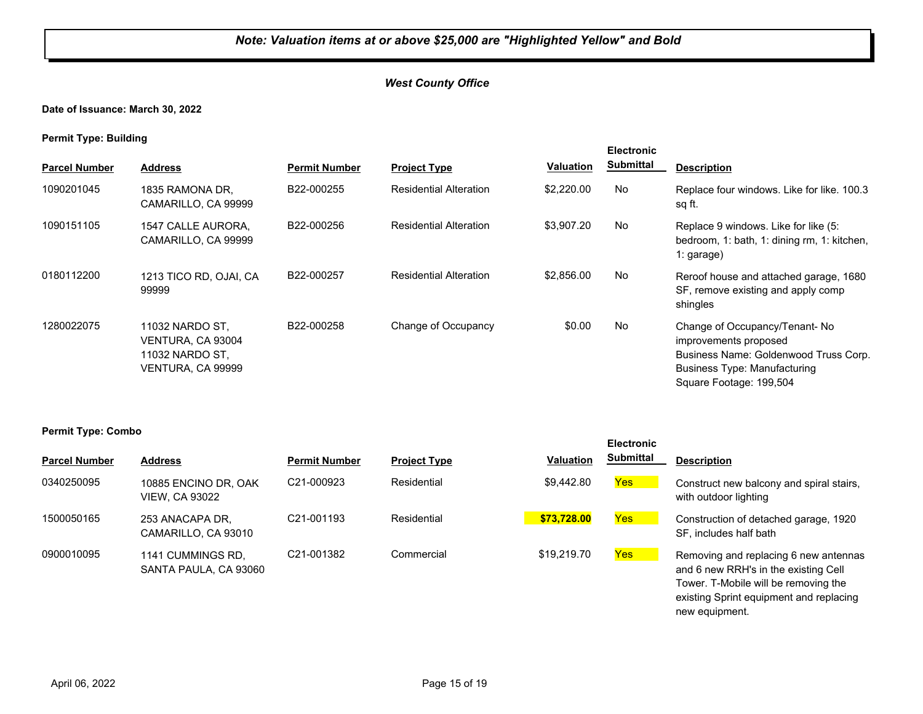## *West County Office*

**Date of Issuance: March 30, 2022**

**Permit Type: Building**

| <b>Parcel Number</b> | <b>Address</b>                                                               | <b>Permit Number</b> | <b>Project Type</b>           | Valuation  | <b>Electronic</b><br><b>Submittal</b> | <b>Description</b>                                                                                                                                                |
|----------------------|------------------------------------------------------------------------------|----------------------|-------------------------------|------------|---------------------------------------|-------------------------------------------------------------------------------------------------------------------------------------------------------------------|
|                      |                                                                              |                      |                               |            |                                       |                                                                                                                                                                   |
| 1090201045           | 1835 RAMONA DR.<br>CAMARILLO, CA 99999                                       | B22-000255           | <b>Residential Alteration</b> | \$2,220.00 | No                                    | Replace four windows. Like for like, 100.3<br>sq ft.                                                                                                              |
| 1090151105           | 1547 CALLE AURORA,<br>CAMARILLO, CA 99999                                    | B22-000256           | <b>Residential Alteration</b> | \$3,907.20 | No                                    | Replace 9 windows. Like for like (5:<br>bedroom, 1: bath, 1: dining rm, 1: kitchen,<br>$1: \text{garage}$                                                         |
| 0180112200           | 1213 TICO RD, OJAI, CA<br>99999                                              | B22-000257           | <b>Residential Alteration</b> | \$2,856.00 | No                                    | Reroof house and attached garage, 1680<br>SF, remove existing and apply comp<br>shingles                                                                          |
| 1280022075           | 11032 NARDO ST.<br>VENTURA, CA 93004<br>11032 NARDO ST.<br>VENTURA, CA 99999 | B22-000258           | Change of Occupancy           | \$0.00     | No                                    | Change of Occupancy/Tenant-No<br>improvements proposed<br>Business Name: Goldenwood Truss Corp.<br><b>Business Type: Manufacturing</b><br>Square Footage: 199,504 |

#### **Permit Type: Combo**

| . .                  |                                               |                         |                     |                  | <b>Electronic</b> |                                                                                                                       |
|----------------------|-----------------------------------------------|-------------------------|---------------------|------------------|-------------------|-----------------------------------------------------------------------------------------------------------------------|
| <b>Parcel Number</b> | <b>Address</b>                                | <b>Permit Number</b>    | <b>Project Type</b> | <b>Valuation</b> | <b>Submittal</b>  | <b>Description</b>                                                                                                    |
| 0340250095           | 10885 ENCINO DR, OAK<br><b>VIEW, CA 93022</b> | C <sub>21</sub> -000923 | Residential         | \$9,442.80       | <b>Yes</b>        | Construct new balcony and spiral stairs,<br>with outdoor lighting                                                     |
| 1500050165           | 253 ANACAPA DR.<br>CAMARILLO, CA 93010        | C <sub>21</sub> -001193 | Residential         | \$73,728.00      | Yes               | Construction of detached garage, 1920<br>SF, includes half bath                                                       |
| 0900010095           | 1141 CUMMINGS RD.<br>SANTA PAULA, CA 93060    | C21-001382              | Commercial          | \$19,219.70      | Yes               | Removing and replacing 6 new antennas<br>and 6 new RRH's in the existing Cell<br>Tower. T-Mobile will be removing the |

existing Sprint equipment and replacing

new equipment.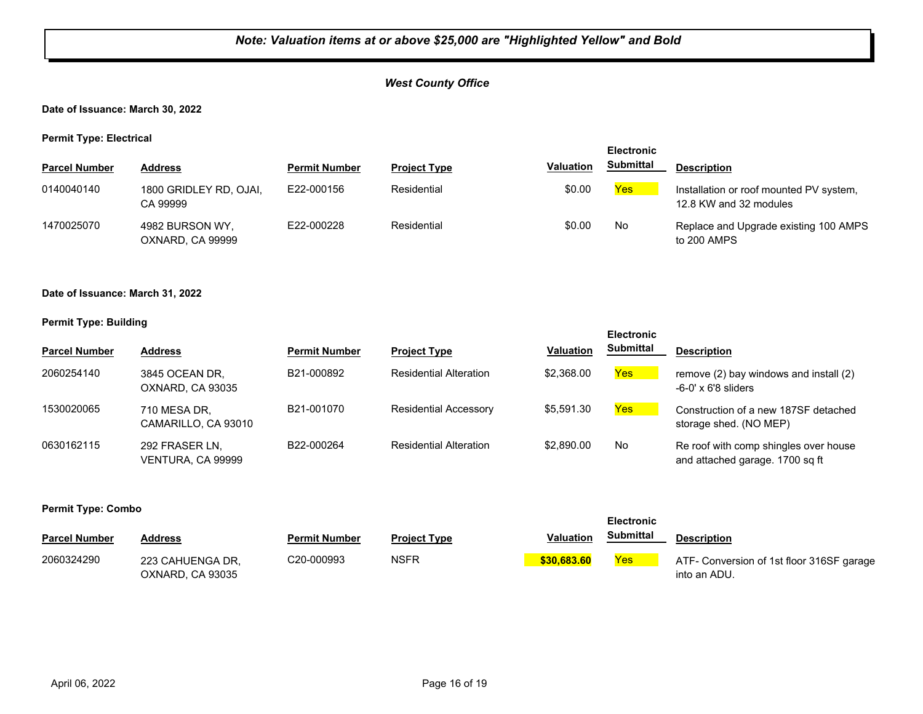## *West County Office*

#### **Date of Issuance: March 30, 2022**

**Permit Type: Electrical**

|                      |                                     |                      |                     |                  | <b>Electronic</b> |                                                                   |
|----------------------|-------------------------------------|----------------------|---------------------|------------------|-------------------|-------------------------------------------------------------------|
| <b>Parcel Number</b> | Address                             | <b>Permit Number</b> | <b>Project Type</b> | <b>Valuation</b> | <b>Submittal</b>  | <b>Description</b>                                                |
| 0140040140           | 1800 GRIDLEY RD, OJAI,<br>CA 99999  | E22-000156           | Residential         | \$0.00           | Yes               | Installation or roof mounted PV system,<br>12.8 KW and 32 modules |
| 1470025070           | 4982 BURSON WY,<br>OXNARD, CA 99999 | E22-000228           | Residential         | \$0.00           | No                | Replace and Upgrade existing 100 AMPS<br>to 200 AMPS              |

#### **Date of Issuance: March 31, 2022**

#### **Permit Type: Building**

| <b>Parcel Number</b> | <b>Address</b>                      | <b>Permit Number</b> | <b>Project Type</b>           | Valuation  | -------<br><b>Submittal</b> | <b>Description</b>                                                       |
|----------------------|-------------------------------------|----------------------|-------------------------------|------------|-----------------------------|--------------------------------------------------------------------------|
| 2060254140           | 3845 OCEAN DR.<br>OXNARD, CA 93035  | B21-000892           | <b>Residential Alteration</b> | \$2,368.00 | <b>Yes</b>                  | remove (2) bay windows and install (2)<br>$-6-0' \times 6'8$ sliders     |
| 1530020065           | 710 MESA DR.<br>CAMARILLO, CA 93010 | B21-001070           | <b>Residential Accessory</b>  | \$5.591.30 | Yes                         | Construction of a new 187SF detached<br>storage shed. (NO MEP)           |
| 0630162115           | 292 FRASER LN.<br>VENTURA, CA 99999 | B22-000264           | <b>Residential Alteration</b> | \$2,890.00 | No                          | Re roof with comp shingles over house<br>and attached garage. 1700 sq ft |

**Electronic** 

| - -                  |                                      |                      |                     |                  | <b>Electronic</b> |                                                           |
|----------------------|--------------------------------------|----------------------|---------------------|------------------|-------------------|-----------------------------------------------------------|
| <b>Parcel Number</b> | <b>Address</b>                       | <b>Permit Number</b> | <b>Project Type</b> | <b>Valuation</b> | <b>Submittal</b>  | <b>Description</b>                                        |
| 2060324290           | 223 CAHUENGA DR.<br>OXNARD, CA 93035 | C20-000993           | <b>NSFR</b>         | \$30.683.60      | Yes               | ATF- Conversion of 1st floor 316SF garage<br>into an ADU. |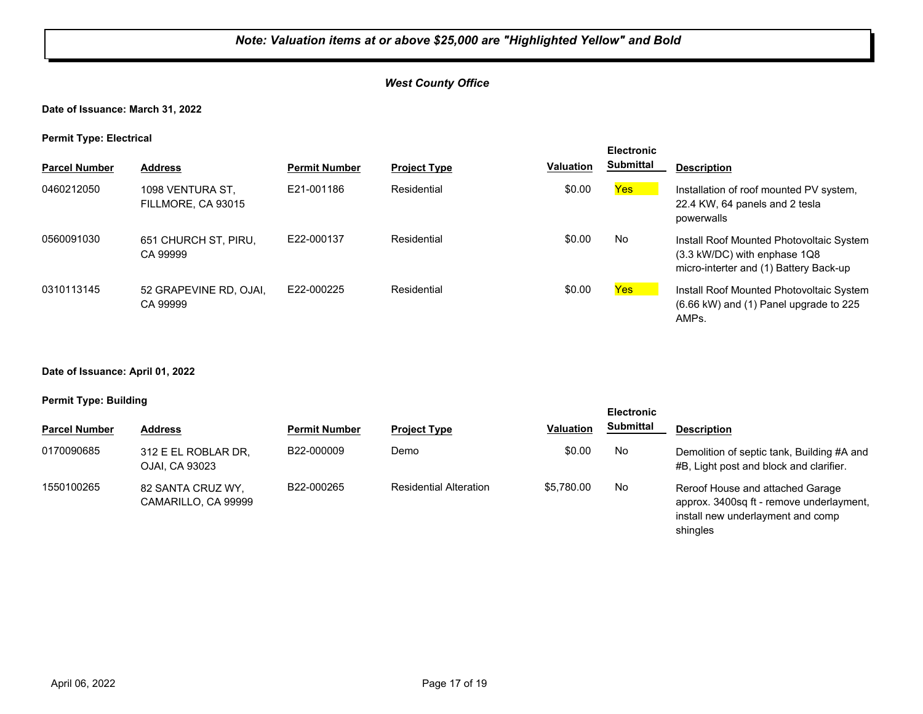## *West County Office*

## **Date of Issuance: March 31, 2022**

**Permit Type: Electrical**

| . .                  |                                        |                      |                     |                  | <b>Electronic</b> |                                                                                                                      |
|----------------------|----------------------------------------|----------------------|---------------------|------------------|-------------------|----------------------------------------------------------------------------------------------------------------------|
| <b>Parcel Number</b> | <b>Address</b>                         | <b>Permit Number</b> | <b>Project Type</b> | <b>Valuation</b> | <b>Submittal</b>  | <b>Description</b>                                                                                                   |
| 0460212050           | 1098 VENTURA ST.<br>FILLMORE, CA 93015 | E21-001186           | Residential         | \$0.00           | Yes               | Installation of roof mounted PV system,<br>22.4 KW, 64 panels and 2 tesla<br>powerwalls                              |
| 0560091030           | 651 CHURCH ST, PIRU,<br>CA 99999       | F22-000137           | Residential         | \$0.00           | No                | Install Roof Mounted Photovoltaic System<br>(3.3 kW/DC) with enphase 1Q8<br>micro-interter and (1) Battery Back-up   |
| 0310113145           | 52 GRAPEVINE RD, OJAI,<br>CA 99999     | E22-000225           | Residential         | \$0.00           | <b>Yes</b>        | Install Roof Mounted Photovoltaic System<br>$(6.66 \text{ kW})$ and $(1)$ Panel upgrade to 225<br>AMP <sub>s</sub> . |

#### **Date of Issuance: April 01, 2022**

#### **Permit Type: Building**

|                      |                                          |                      |                               |                  | <b>Electronic</b> |                                                                                                                   |  |
|----------------------|------------------------------------------|----------------------|-------------------------------|------------------|-------------------|-------------------------------------------------------------------------------------------------------------------|--|
| <b>Parcel Number</b> | <b>Address</b>                           | <b>Permit Number</b> | <b>Project Type</b>           | <b>Valuation</b> | <b>Submittal</b>  | <b>Description</b>                                                                                                |  |
| 0170090685           | 312 E EL ROBLAR DR,<br>OJAI, CA 93023    | B22-000009           | Demo                          | \$0.00           | No                | Demolition of septic tank, Building #A and<br>#B, Light post and block and clarifier.                             |  |
| 1550100265           | 82 SANTA CRUZ WY,<br>CAMARILLO, CA 99999 | B22-000265           | <b>Residential Alteration</b> | \$5.780.00       | No                | Reroof House and attached Garage<br>approx. 3400sq ft - remove underlayment,<br>install new underlayment and comp |  |

shingles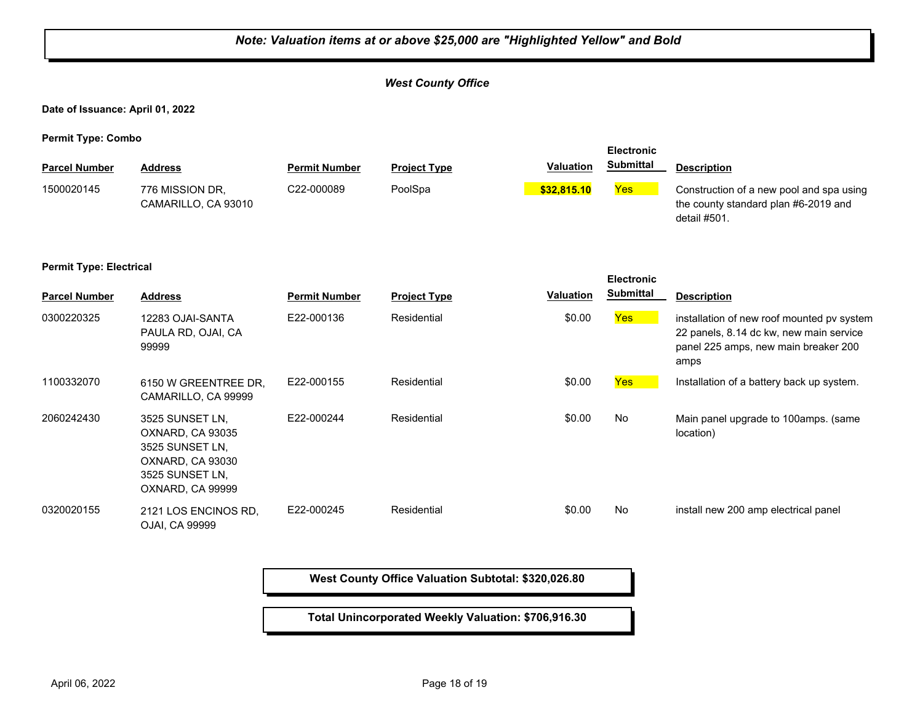| Note: Valuation items at or above \$25,000 are "Highlighted Yellow" and Bold |                                                                                                                   |                      |                           |                  |                  |                                                                                                                                       |  |  |  |
|------------------------------------------------------------------------------|-------------------------------------------------------------------------------------------------------------------|----------------------|---------------------------|------------------|------------------|---------------------------------------------------------------------------------------------------------------------------------------|--|--|--|
|                                                                              |                                                                                                                   |                      | <b>West County Office</b> |                  |                  |                                                                                                                                       |  |  |  |
| Date of Issuance: April 01, 2022                                             |                                                                                                                   |                      |                           |                  |                  |                                                                                                                                       |  |  |  |
| <b>Permit Type: Combo</b>                                                    |                                                                                                                   | <b>Electronic</b>    |                           |                  |                  |                                                                                                                                       |  |  |  |
| <b>Parcel Number</b>                                                         | <b>Address</b>                                                                                                    | <b>Permit Number</b> | <b>Project Type</b>       | <b>Valuation</b> | <b>Submittal</b> | <b>Description</b>                                                                                                                    |  |  |  |
| 1500020145                                                                   | 776 MISSION DR,<br>CAMARILLO, CA 93010                                                                            | C22-000089           | PoolSpa                   | \$32,815.10      | Yes              | Construction of a new pool and spa using<br>the county standard plan #6-2019 and<br>detail #501.                                      |  |  |  |
| <b>Permit Type: Electrical</b><br><b>Electronic</b>                          |                                                                                                                   |                      |                           |                  |                  |                                                                                                                                       |  |  |  |
| <b>Parcel Number</b>                                                         | <b>Address</b>                                                                                                    | <b>Permit Number</b> | <b>Project Type</b>       | <b>Valuation</b> | <b>Submittal</b> | <b>Description</b>                                                                                                                    |  |  |  |
| 0300220325                                                                   | 12283 OJAI-SANTA<br>PAULA RD, OJAI, CA<br>99999                                                                   | E22-000136           | Residential               | \$0.00           | Yes <sup>1</sup> | installation of new roof mounted pv system<br>22 panels, 8.14 dc kw, new main service<br>panel 225 amps, new main breaker 200<br>amps |  |  |  |
| 1100332070                                                                   | 6150 W GREENTREE DR,<br>CAMARILLO, CA 99999                                                                       | E22-000155           | Residential               | \$0.00           | <b>Yes</b>       | Installation of a battery back up system.                                                                                             |  |  |  |
| 2060242430                                                                   | 3525 SUNSET LN,<br>OXNARD, CA 93035<br>3525 SUNSET LN,<br>OXNARD, CA 93030<br>3525 SUNSET LN,<br>OXNARD, CA 99999 | E22-000244           | Residential               | \$0.00           | No               | Main panel upgrade to 100amps. (same<br>location)                                                                                     |  |  |  |
| 0320020155                                                                   | 2121 LOS ENCINOS RD,<br>OJAI, CA 99999                                                                            | E22-000245           | Residential               | \$0.00           | <b>No</b>        | install new 200 amp electrical panel                                                                                                  |  |  |  |

E.

**West County Office Valuation Subtotal: \$320,026.80**

**Total Unincorporated Weekly Valuation: \$706,916.30**